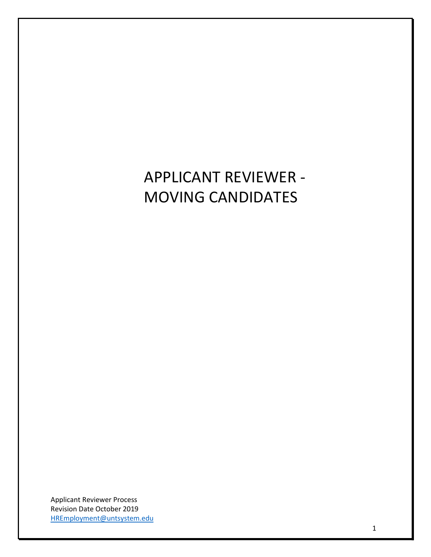## APPLICANT REVIEWER - MOVING CANDIDATES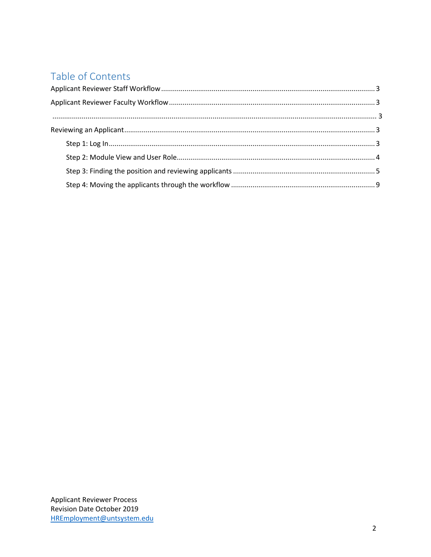## Table of Contents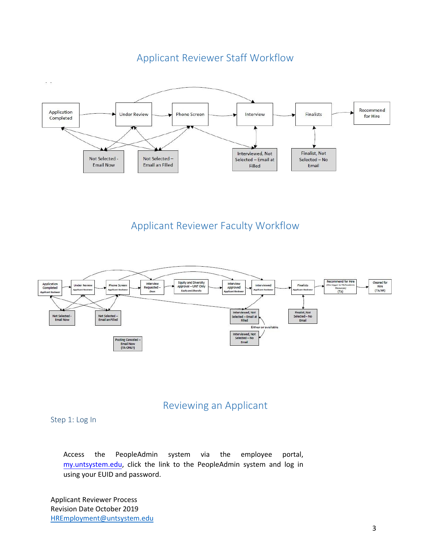<span id="page-2-0"></span>

## Applicant Reviewer Staff Workflow

Applicant Reviewer Faculty Workflow

<span id="page-2-1"></span>

## Reviewing an Applicant

### <span id="page-2-2"></span>Step 1: Log In

Access the PeopleAdmin system via the [employee portal,](https://portal.unt.edu/psp/ps/EMPLOYEE/EMPL/h/?tab=SYPA_GUEST)  my.untsystem.edu, click the link to the PeopleAdmin system and log in using your EUID and password.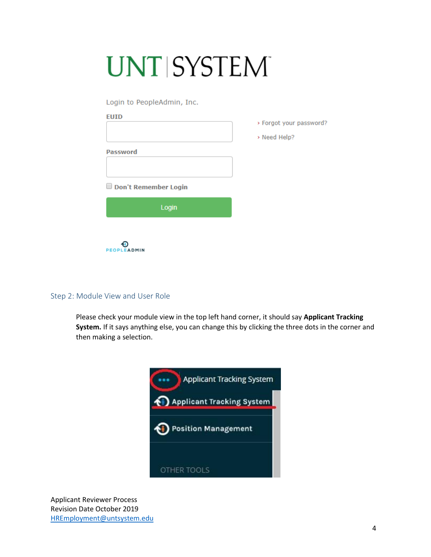# **UNT SYSTEM**

Login to PeopleAdmin, Inc.

|                      | > Forgot your |
|----------------------|---------------|
|                      | > Need Help?  |
| <b>Password</b>      |               |
|                      |               |
| Don't Remember Login |               |
| Login                |               |
|                      |               |
| PEOPLEADMIN          |               |

password?

#### <span id="page-3-0"></span>Step 2: Module View and User Role

Please check your module view in the top left hand corner, it should say **Applicant Tracking System.** If it says anything else, you can change this by clicking the three dots in the corner and then making a selection.

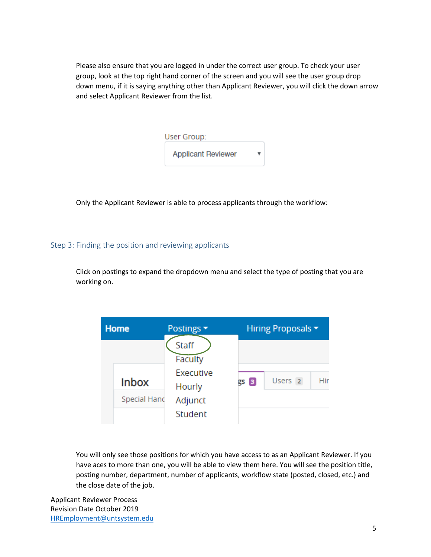Please also ensure that you are logged in under the correct user group. To check your user group, look at the top right hand corner of the screen and you will see the user group drop down menu, if it is saying anything other than Applicant Reviewer, you will click the down arrow and select Applicant Reviewer from the list.

| User Group:               |  |
|---------------------------|--|
| <b>Applicant Reviewer</b> |  |

Only the Applicant Reviewer is able to process applicants through the workflow:

#### <span id="page-4-0"></span>Step 3: Finding the position and reviewing applicants

Click on postings to expand the dropdown menu and select the type of posting that you are working on.

| <b>Home</b> |                                     | Postings ▼                                                    |      | Hiring Proposals ▼ |     |  |  |  |
|-------------|-------------------------------------|---------------------------------------------------------------|------|--------------------|-----|--|--|--|
|             | <b>Inbox</b><br><b>Special Hand</b> | Staff<br>Faculty<br>Executive<br>Hourly<br>Adjunct<br>Student | gs 3 | Users <sub>2</sub> | Hir |  |  |  |

You will only see those positions for which you have access to as an Applicant Reviewer. If you have aces to more than one, you will be able to view them here. You will see the position title, posting number, department, number of applicants, workflow state (posted, closed, etc.) and the close date of the job.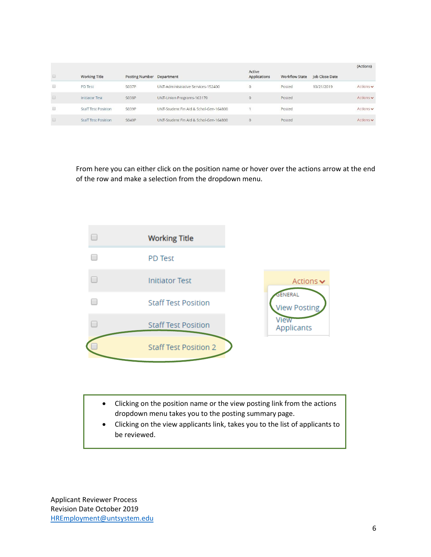|   | <b>Working Title</b>       | <b>Posting Number</b> | Department                             | Active<br>Applications | <b>Workflow State</b> | Job Close Date | (Actions)                     |
|---|----------------------------|-----------------------|----------------------------------------|------------------------|-----------------------|----------------|-------------------------------|
| O | PD Test                    | S037P                 | UNT-Administrative Services-152400     | $\overline{0}$         | Posted                | 10/21/2019     | Actions $\vee$                |
|   | <b>Initiator Test</b>      | <b>S038P</b>          | UNT-Union Programs-163170              | $\circ$                | Posted                |                | Actions $\blacktriangleright$ |
| o | Staff Test Position        | S039P                 | UNT-Student Fin Aid & Schol-Gen-164800 |                        | Posted                |                | Actions v                     |
|   | <b>Staff Test Position</b> | <b>S040P</b>          | UNT-Student Fin Aid & Schol-Gen-164800 | $\circ$                | Posted                |                | Actions $\mathbf{\mathsf{v}}$ |

From here you can either click on the position name or hover over the actions arrow at the end of the row and make a selection from the dropdown menu.



- Clicking on the position name or the view posting link from the actions dropdown menu takes you to the posting summary page.
- Clicking on the view applicants link, takes you to the list of applicants to be reviewed.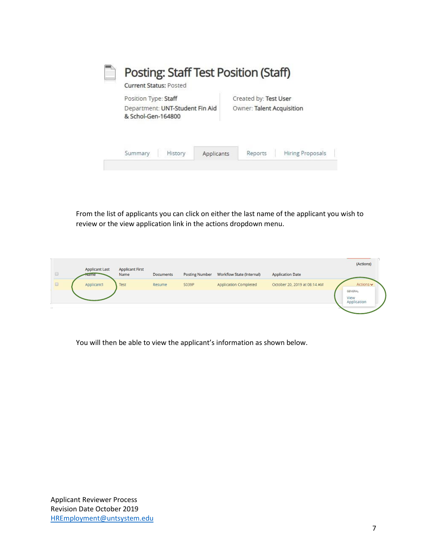|  | Posting: Staff Test Position (Staff)<br><b>Current Status: Posted</b> |                                 |            |                                                    |                         |  |  |
|--|-----------------------------------------------------------------------|---------------------------------|------------|----------------------------------------------------|-------------------------|--|--|
|  | Position Type: Staff<br>& Schol-Gen-164800                            | Department: UNT-Student Fin Aid |            | Created by: Test User<br>Owner: Talent Acquisition |                         |  |  |
|  | Summary                                                               | History                         | Applicants | Reports                                            | <b>Hiring Proposals</b> |  |  |

From the list of applicants you can click on either the last name of the applicant you wish to review or the view application link in the actions dropdown menu.

| $\Box$               | <b>Applicant Last</b><br><b>Kame</b> | <b>Applicant First</b><br>Name | <b>Documents</b> | <b>Posting Number</b> | <b>Workflow State (Internal)</b> | <b>Application Date</b>      | (Actions)                      |
|----------------------|--------------------------------------|--------------------------------|------------------|-----------------------|----------------------------------|------------------------------|--------------------------------|
| $\qquad \qquad \Box$ | Applicant1                           | Test                           | Resume           | S039P                 | <b>Application Completed</b>     | October 20, 2019 at 08:14 AM | Actions v                      |
|                      |                                      |                                |                  |                       |                                  |                              | GENERAL<br>View<br>Application |

You will then be able to view the applicant's information as shown below.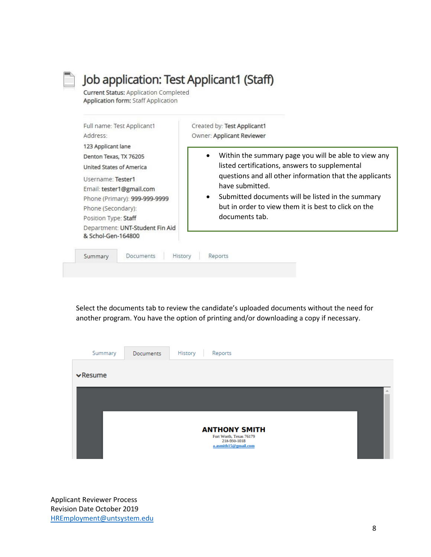## Job application: Test Applicant1 (Staff)

**Current Status: Application Completed Application form: Staff Application** 

| Full name: Test Applicant1<br>Address:                                                                                                                                                                                                             | Created by: Test Applicant1<br>Owner: Applicant Reviewer                                                                                                                                                                                                                                                                         |
|----------------------------------------------------------------------------------------------------------------------------------------------------------------------------------------------------------------------------------------------------|----------------------------------------------------------------------------------------------------------------------------------------------------------------------------------------------------------------------------------------------------------------------------------------------------------------------------------|
| 123 Applicant lane<br>Denton Texas, TX 76205<br><b>United States of America</b><br>Username: Tester1<br>Email: tester1@gmail.com<br>Phone (Primary): 999-999-9999<br>Phone (Secondary):<br>Position Type: Staff<br>Department: UNT-Student Fin Aid | Within the summary page you will be able to view any<br>listed certifications, answers to supplemental<br>questions and all other information that the applicants<br>have submitted.<br>Submitted documents will be listed in the summary<br>$\bullet$<br>but in order to view them it is best to click on the<br>documents tab. |
| & Schol-Gen-164800<br>Documents<br>History<br>Summary                                                                                                                                                                                              | Reports                                                                                                                                                                                                                                                                                                                          |

Select the documents tab to review the candidate's uploaded documents without the need for another program. You have the option of printing and/or downloading a copy if necessary.

| Summary                      | <b>Documents</b> | History<br>Reports                              |   |
|------------------------------|------------------|-------------------------------------------------|---|
| $\blacktriangleright$ Resume |                  |                                                 |   |
|                              |                  |                                                 | 业 |
|                              |                  |                                                 |   |
|                              |                  | <b>ANTHONY SMITH</b><br>Fort Worth, Texas 76179 |   |
|                              |                  | 218-950-1018<br>a.asmith15@gmail.com            |   |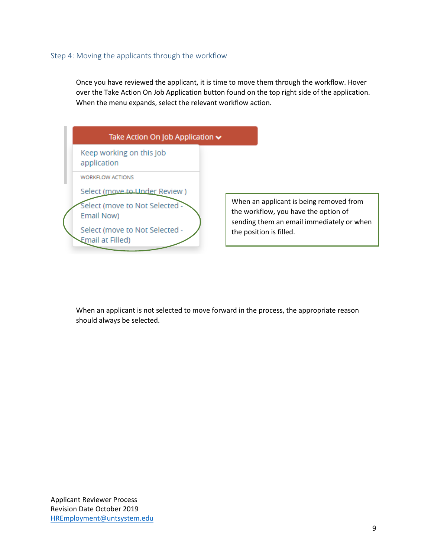#### <span id="page-8-0"></span>Step 4: Moving the applicants through the workflow

Once you have reviewed the applicant, it is time to move them through the workflow. Hover over the Take Action On Job Application button found on the top right side of the application. When the menu expands, select the relevant workflow action.



When an applicant is being removed from the workflow, you have the option of sending them an email immediately or when the position is filled.

When an applicant is not selected to move forward in the process, the appropriate reason should always be selected.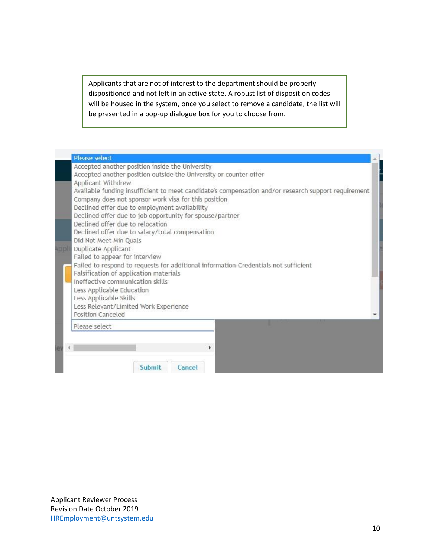Applicants that are not of interest to the department should be properly dispositioned and not left in an active state. A robust list of disposition codes will be housed in the system, once you select to remove a candidate, the list will be presented in a pop-up dialogue box for you to choose from.

| <b>Please select</b>                                                                                                                                                                                                                                                                                                                                                                                                                                                                                                                    |  |
|-----------------------------------------------------------------------------------------------------------------------------------------------------------------------------------------------------------------------------------------------------------------------------------------------------------------------------------------------------------------------------------------------------------------------------------------------------------------------------------------------------------------------------------------|--|
| Accepted another position inside the University<br>Accepted another position outside the University or counter offer<br>Applicant Withdrew<br>Available funding insufficient to meet candidate's compensation and/or research support requirement<br>Company does not sponsor work visa for this position<br>Declined offer due to employment availability<br>Declined offer due to job opportunity for spouse/partner<br>Declined offer due to relocation<br>Declined offer due to salary/total compensation<br>Did Not Meet Min Quals |  |
| Duplicate Applicant<br>Failed to appear for interview<br>Failed to respond to requests for additional information-Credentials not sufficient<br>Falsification of application materials<br>Ineffective communication skills<br>Less Applicable Education<br>Less Applicable Skills<br>Less Relevant/Limited Work Experience<br>Position Canceled                                                                                                                                                                                         |  |
| Please select                                                                                                                                                                                                                                                                                                                                                                                                                                                                                                                           |  |
| Submit<br>Cancel                                                                                                                                                                                                                                                                                                                                                                                                                                                                                                                        |  |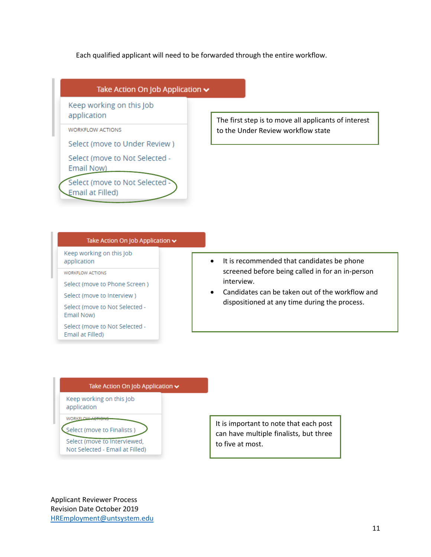Each qualified applicant will need to be forwarded through the entire workflow.



#### Take Action On Job Application v

Keep working on this Job application

WORKFLOW ACTIONS

Select (move to Phone Screen)

Select (move to Interview)

Select (move to Not Selected -Email Now)

Select (move to Not Selected -Email at Filled)

- It is recommended that candidates be phone screened before being called in for an in-person interview.
- Candidates can be taken out of the workflow and dispositioned at any time during the process.

#### Take Action On Job Application v

Keep working on this Job application

WORKELOW ACTION

Select (move to Finalists )

Select (move to Interviewed, Not Selected - Email at Filled) It is important to note that each post can have multiple finalists, but three to five at most.